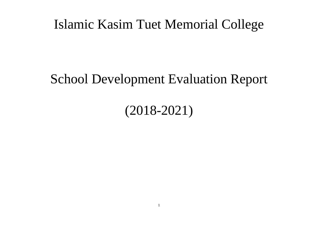### Islamic Kasim Tuet Memorial College

## School Development Evaluation Report

# (2018-2021)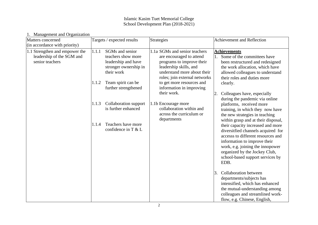#### Islamic Kasim Tuet Memorial College School Development Plan (2018-2021)

| magumum anu urgamman<br>Matters concerned<br>(in accordance with priority)     | Targets / expected results                                                                                                                                          | Strategies                                                                                                                                                                                                                                | Achievement and Reflection                                                                                                                                                                                                                                                                                                                                                                                                                                             |
|--------------------------------------------------------------------------------|---------------------------------------------------------------------------------------------------------------------------------------------------------------------|-------------------------------------------------------------------------------------------------------------------------------------------------------------------------------------------------------------------------------------------|------------------------------------------------------------------------------------------------------------------------------------------------------------------------------------------------------------------------------------------------------------------------------------------------------------------------------------------------------------------------------------------------------------------------------------------------------------------------|
| 1.1 Strengthen and empower the<br>leadership of the SGM and<br>senior teachers | SGMs and senior<br>1.1.1<br>teachers show more<br>leadership and have<br>stronger ownership in<br>their work<br>Team spirit can be<br>1.1.2<br>further strengthened | 1.1a SGMs and senior teachers<br>are encouraged to attend<br>programs to improve their<br>leadership skills, and<br>understand more about their<br>roles; join external networks<br>to get more resources and<br>information in improving | <b>Achievements</b><br>Some of the committees have<br>1.<br>been restructured and redesigned<br>the work allocation, which have<br>allowed colleagues to understand<br>their roles and duties more<br>clearly.                                                                                                                                                                                                                                                         |
|                                                                                | Collaboration support<br>1.1.3<br>is further enhanced<br>Teachers have more<br>1.1.4<br>confidence in T & L                                                         | their work.<br>1.1b Encourage more<br>collaboration within and<br>across the curriculum or<br>departments                                                                                                                                 | Colleagues have, especially<br>2.<br>during the pandemic via online<br>platforms, received more<br>training, in which they now have<br>the new strategies in teaching<br>within grasp and at their disposal,<br>their capacity increased and more<br>diversitfied channels acquired for<br>accesss to different resources and<br>information to improve their<br>work, e.g. joining the innopower<br>organized by the Jockey Club,<br>school-based support services by |
|                                                                                |                                                                                                                                                                     |                                                                                                                                                                                                                                           | EDB.<br>Collaboration between<br>3.<br>departments/subjects has<br>intensified, which has enhanced<br>the mutual-understanding among<br>colleagues and streamlined work-<br>flow, e.g. Chinese, English,                                                                                                                                                                                                                                                               |

### 1. Management and Organization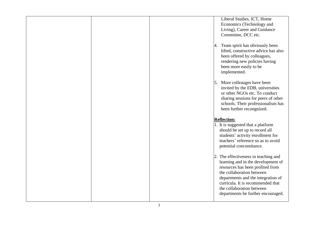|  | Liberal Studies, ICT, Home                                          |
|--|---------------------------------------------------------------------|
|  | Economics (Technology and                                           |
|  | Living), Career and Guidance                                        |
|  | Committee, DCC etc.                                                 |
|  |                                                                     |
|  | 4. Team spirit has obviously been                                   |
|  | lifted, constructive advice has also                                |
|  | been offered by colleagues,                                         |
|  | rendering new policies having                                       |
|  | been more easily to be                                              |
|  | implemented.                                                        |
|  | 5. More colleauges have been                                        |
|  | invited by the EDB, universities                                    |
|  | or other NGOs etc. To conduct                                       |
|  | sharing sessions for peers of other                                 |
|  | schools. Their professionalism has                                  |
|  | been further recongnized.                                           |
|  |                                                                     |
|  |                                                                     |
|  |                                                                     |
|  | <b>Reflection:</b>                                                  |
|  | 1. It is suggested that a platform                                  |
|  | should be set up to record all<br>students' activity enrollment for |
|  | teachers' reference so as to avoid                                  |
|  | potential concomitance.                                             |
|  |                                                                     |
|  | 2. The effectiveness in teaching and                                |
|  | learning and in the development of                                  |
|  | resources has been profited from                                    |
|  | the collaboration between                                           |
|  | departments and the integration of                                  |
|  | curricula. It is recommended that                                   |
|  | the collaboration between                                           |
|  | departments be further encouraged.                                  |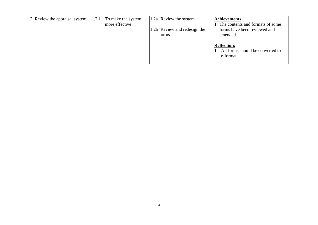| 1.2 Review the appraisal system | 1.2.1 | To make the system | 1.2a Review the system       | <b>Achievements</b>                                                 |
|---------------------------------|-------|--------------------|------------------------------|---------------------------------------------------------------------|
|                                 |       | more effective     | 1.2b Review and redesign the | 1. The contents and formats of some<br>forms have been reviewed and |
|                                 |       |                    | forms                        | amended.<br><b>Reflection:</b>                                      |
|                                 |       |                    |                              | All forms should be converted to<br>e-format.                       |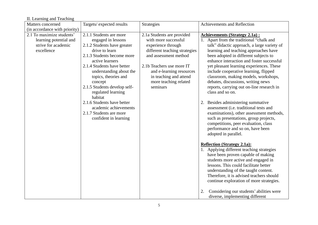| II. Learning and Teaching |  |  |  |  |
|---------------------------|--|--|--|--|
|---------------------------|--|--|--|--|

| Matters concerned                                                                        | Targets/expected results                                                                                                                                                                                                                                                                                     | Strategies                                                                                                                                                                                                                                                 | Achievements and Reflection                                                                                                                                                                                                                                                                                                                                                                                                                                                                        |
|------------------------------------------------------------------------------------------|--------------------------------------------------------------------------------------------------------------------------------------------------------------------------------------------------------------------------------------------------------------------------------------------------------------|------------------------------------------------------------------------------------------------------------------------------------------------------------------------------------------------------------------------------------------------------------|----------------------------------------------------------------------------------------------------------------------------------------------------------------------------------------------------------------------------------------------------------------------------------------------------------------------------------------------------------------------------------------------------------------------------------------------------------------------------------------------------|
| (in accordance with priority)                                                            |                                                                                                                                                                                                                                                                                                              |                                                                                                                                                                                                                                                            |                                                                                                                                                                                                                                                                                                                                                                                                                                                                                                    |
| 2.1 To maximize students'<br>learning potential and<br>strive for academic<br>excellence | 2.1.1 Students are more<br>engaged in lessons<br>2.1.2 Students have greater<br>drive to learn<br>2.1.3 Students become more<br>active learners<br>2.1.4 Students have better<br>understanding about the<br>topics, theories and<br>concept<br>2.1.5 Students develop self-<br>regulated learning<br>habitat | 2.1a Students are provided<br>with more successful<br>experience through<br>different teaching strategies<br>and assessment method<br>2.1b Teachers use more IT<br>and e-learning resources<br>in teaching and attend<br>more teaching related<br>seminars | <b>Achievements (Strategy 2.1a):</b><br>1. Apart from the traditional "chalk and<br>talk" didactic approach, a large variety of<br>learning and teaching approaches have<br>been adopted in different subjects to<br>enhance interaction and foster successful<br>yet pleasant learning experiences. These<br>include cooperative learning, flipped<br>classroom, making models, workshops,<br>debates, discussions, writing news<br>reports, carrying out on-line research in<br>class and so on. |
|                                                                                          | 2.1.6 Students have better<br>academic achievements<br>2.1.7 Students are more<br>confident in learning                                                                                                                                                                                                      |                                                                                                                                                                                                                                                            | 2. Besides administering summative<br>assessment (i.e. traditional tests and<br>examinations), other assessment methods,<br>such as presentations, group projects,<br>competitions, peer evaluation, class<br>performance and so on, have been<br>adopted in parallel.                                                                                                                                                                                                                             |
|                                                                                          |                                                                                                                                                                                                                                                                                                              |                                                                                                                                                                                                                                                            | <b>Reflection (Strategy 2.1a):</b><br>1. Applying different teaching strategies<br>have been proven capable of making<br>students more active and engaged in<br>lessons. This could facilitate better<br>understanding of the taught content.<br>Therefore, it is advised teachers should<br>continue exploration of more strategies.                                                                                                                                                              |
|                                                                                          |                                                                                                                                                                                                                                                                                                              |                                                                                                                                                                                                                                                            | Considering our students' abilities were<br>2.<br>diverse, implementing different                                                                                                                                                                                                                                                                                                                                                                                                                  |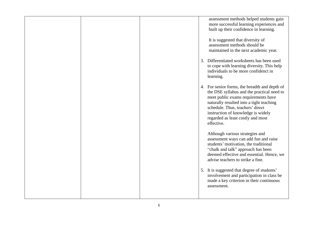|  |    | assessment methods helped students gain<br>more successful learning experiences and<br>built up their confidence in learning.                                                                                                                                                                               |
|--|----|-------------------------------------------------------------------------------------------------------------------------------------------------------------------------------------------------------------------------------------------------------------------------------------------------------------|
|  |    | It is suggested that diversity of<br>assessment methods should be<br>maintained in the next academic year.                                                                                                                                                                                                  |
|  | 3. | Differentiated worksheets has been used<br>to cope with learning diversity. This help<br>individuals to be more confidenct in<br>learning.                                                                                                                                                                  |
|  |    | 4. For senior forms, the breadth and depth of<br>the DSE syllabus and the practical need to<br>meet public exams requirements have<br>naturally resulted into a tight teaching<br>schedule. Thus, teachers' direct<br>instruction of knowledge is widely<br>regarded as least costly and most<br>effective. |
|  |    | Although various strategies and<br>assessment ways can add fun and raise<br>students' motivation, the traditional<br>"chalk and talk" approach has been<br>deemed effective and essential. Hence, we<br>advise teachers to strike a fine.                                                                   |
|  |    | 5. It is suggested that degree of students'<br>involvement and participation in class be<br>made a key criterion in their continuous<br>assessment.                                                                                                                                                         |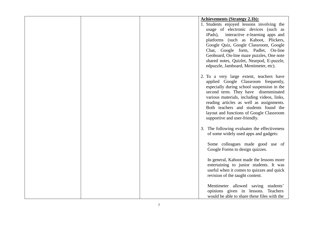|  | <b>Achievements (Strategy 2.1b):</b>                                                |
|--|-------------------------------------------------------------------------------------|
|  | 1. Students enjoyed lessons involving the                                           |
|  | usage of electronic devices (such as                                                |
|  | iPads), interactive e-learning apps and                                             |
|  | platforms (such as Kahoot, Plickers,                                                |
|  | Google Quiz, Google Classroom, Google                                               |
|  | Chat, Google form, Padlet,<br>On-line                                               |
|  | Geoboard, On-line maze puzzles, One note                                            |
|  | shared notes, Quizlet, Nearpod, E-puzzle,<br>edpuzzle, Jamboard, Mentimeter, etc).  |
|  |                                                                                     |
|  | 2. To a very large extent, teachers have                                            |
|  | applied Google Classroom frequently,                                                |
|  | especially during school suspension in the                                          |
|  | second term. They have disemminated                                                 |
|  | various materials, including videos, links,                                         |
|  | reading articles as well as assignments.                                            |
|  | Both teachers and students found the                                                |
|  | layout and functions of Google Classroom                                            |
|  | supportive and user-friendly.                                                       |
|  | 3. The following evaluates the effectiveness                                        |
|  | of some widely used apps and gadgets:                                               |
|  |                                                                                     |
|  | Some colleagues made good use of                                                    |
|  | Google Forms to design quizzes.                                                     |
|  |                                                                                     |
|  | In general, Kahoot made the lessons more<br>entertaining to junior students. It was |
|  | useful when it comes to quizzes and quick                                           |
|  | revision of the taught content.                                                     |
|  |                                                                                     |
|  | Mentimeter allowed saving students'                                                 |
|  | opinions given in lessons. Teachers                                                 |
|  | would be able to share these files with the                                         |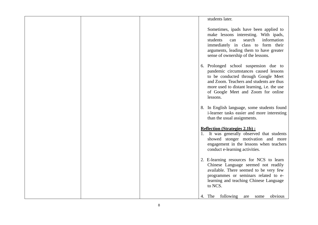|  |  | students later.                                                                                                                                                                                                                                                    |
|--|--|--------------------------------------------------------------------------------------------------------------------------------------------------------------------------------------------------------------------------------------------------------------------|
|  |  | Sometimes, ipads have been applied to<br>make lessons interesting. With ipads,<br>search<br>information<br>students<br>can<br>immediately in class to form their<br>arguments, leading them to have greater<br>sense of ownership of the lessons.                  |
|  |  | 6. Prolonged school suspension due to<br>pandemic circumstances caused lessons<br>to be conducted through Google Meet<br>and Zoom. Teachers and students are thus<br>more used to distant learning, i.e. the use<br>of Google Meet and Zoom for online<br>lessons. |
|  |  | 8. In English language, some students found<br>i-learner tasks easier and more interesting<br>than the usual assignments.                                                                                                                                          |
|  |  | <b>Reflection (Strategies 2.1b):</b><br>1. It was generally observed that students<br>showed stonger motivation and more<br>engagement in the lessons when teachers<br>conduct e-learning activities.                                                              |
|  |  | 2. E-learning resources for NCS to learn<br>Chinese Language seemed not readily<br>available. There seemed to be very few<br>programmes or seminars related to e-<br>learning and teaching Chinese Language<br>to NCS.                                             |
|  |  | 4. The<br>following<br>obvious<br>some<br>are                                                                                                                                                                                                                      |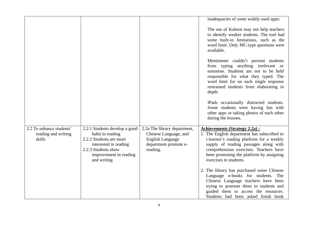|                                                           |                                                                                                                                                                       |                                                                                                                       | inadequacies of some widely used apps:                                                                                                                                                                                                                                                    |
|-----------------------------------------------------------|-----------------------------------------------------------------------------------------------------------------------------------------------------------------------|-----------------------------------------------------------------------------------------------------------------------|-------------------------------------------------------------------------------------------------------------------------------------------------------------------------------------------------------------------------------------------------------------------------------------------|
|                                                           |                                                                                                                                                                       |                                                                                                                       | The use of Kahoot may not help teachers<br>to identify weaker students. The tool had<br>some built-in limitations, such as the<br>word limit. Only MC-type questions were<br>available.                                                                                                   |
|                                                           |                                                                                                                                                                       |                                                                                                                       | Mentimeter couldn't prevent students<br>from typing anything irrelevant or<br>nonsense. Students are not to be held<br>responsible for what they typed. The<br>word limit for on each single response<br>restrained students from elaborating in<br>depth.                                |
|                                                           |                                                                                                                                                                       |                                                                                                                       | IPads occasionally distracted students.<br>Some students were having fun with<br>other apps or taking photos of each other<br>during the lessons.                                                                                                                                         |
| 2.2 To enhance students'<br>reading and writing<br>skills | 2.2.1 Students develop a good<br>habit in reading<br>2.2.2 Students are more<br>interested in reading<br>2.2.3 Students show<br>improvement in reading<br>and writing | 2.2a The library department,<br>Chinese Language, and<br><b>English Language</b><br>department promote e-<br>reading. | <b>Achievements (Strategy 2.2a):</b><br>1. The English department has subscribed to<br>i-learner's reading platform for a weekly<br>supply of reading passages along with<br>comprehension exercises. Teachers have<br>been promoting the platform by assigning<br>exercises to students. |
|                                                           |                                                                                                                                                                       |                                                                                                                       | 2. The library has purchased some Chinese<br>Language e-books for students. The<br>Chinese Language teachers have been<br>trying to promote them to students and<br>guided them to access the resources.<br>Students had been asked finish book                                           |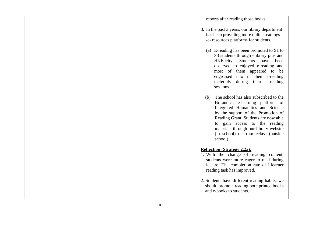|  | reports after reading those books.                                                                                                                                                                                                                                                                                                |
|--|-----------------------------------------------------------------------------------------------------------------------------------------------------------------------------------------------------------------------------------------------------------------------------------------------------------------------------------|
|  | 3. In the past 3 years, our library department<br>has been providing more online readings<br>/e- resources platforms for students.                                                                                                                                                                                                |
|  | (a) E-reading has been promoted to S1 to<br>S3 students through elibrary plus and<br>Students<br>HKEdcity.<br>have<br>been<br>observed to enjoyed e-reading and<br>most of them appeared to be<br>engrossed into in their e-reading<br>materials<br>during their e-reading<br>sessions.                                           |
|  | The school has also subscribed to the<br>(b)<br>Britannica e-learning platform of<br>Integrated Humanities and Science<br>by the support of the Promotion of<br>Reading Grant. Students are now able<br>to gain access to the reading<br>materials through our library website<br>(in school) or from eclass (outside<br>school). |
|  | <b>Reflection (Strategy 2.2a):</b><br>1. With the change of reading content,<br>students were more eager to read during<br>leisure. The completion rate of i-learner<br>reading task has improved.                                                                                                                                |
|  | 2. Students have different reading habits, we<br>should promote reading both printed books<br>and e-books to students.                                                                                                                                                                                                            |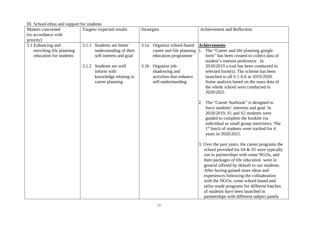III. School ethos and support for students

| Matters concerned                                                      | Targets/expected results                                                                                                                                                  | <b>Strategies</b>                                                                                                                                                                       | Achievement and Reflection                                                                                                                                                                                                                                                                                                                                                                                                                                                                    |
|------------------------------------------------------------------------|---------------------------------------------------------------------------------------------------------------------------------------------------------------------------|-----------------------------------------------------------------------------------------------------------------------------------------------------------------------------------------|-----------------------------------------------------------------------------------------------------------------------------------------------------------------------------------------------------------------------------------------------------------------------------------------------------------------------------------------------------------------------------------------------------------------------------------------------------------------------------------------------|
| (in accordance with                                                    |                                                                                                                                                                           |                                                                                                                                                                                         |                                                                                                                                                                                                                                                                                                                                                                                                                                                                                               |
| priority)                                                              |                                                                                                                                                                           |                                                                                                                                                                                         |                                                                                                                                                                                                                                                                                                                                                                                                                                                                                               |
| 3.1 Enhancing and<br>enriching life planning<br>education for students | Students are better<br>3.1.1<br>understanding of their<br>self-interest and goal<br>Students are well<br>3.1.2<br>inform with<br>knowledge relating to<br>career planning | Organize school-based<br>3.1a<br>career and life planning<br>education programme<br>3.1 <sub>b</sub><br>Organize job-<br>shadowing and<br>activities that enhance<br>self-understanding | <b>Achievements</b><br>The "Career and life planning google<br>form" has been created to collect data of<br>student's interest preference. In<br>2018/2019 a trail has been conducted in<br>selected form(s). The scheme has been<br>launched to all S.1-S.6 in 2019/2020.<br>Some analysis based on the mass data of<br>the whole school were conducted in<br>2020/2021.                                                                                                                     |
|                                                                        |                                                                                                                                                                           |                                                                                                                                                                                         | The "Career Starbook" is designed to<br>2.<br>force students' interests and goal. In<br>2018/2019, S1 and S2 students were<br>guided to complete the booklet via<br>individual or small group interviews. The<br>1 <sup>st</sup> batch of students were tracked for 4<br>years in 2020/2021.                                                                                                                                                                                                  |
|                                                                        |                                                                                                                                                                           |                                                                                                                                                                                         | 3. Over the past years, the career programs the<br>school provided for S4 & S5 were typically<br>run in partnerships with some NGOs, and<br>their packages of life education were in<br>general offered by default to our students.<br>After having gained more ideas and<br>experiences following the colloabration<br>with the NGOs, some school-based and<br>tailor-made programs for different batches<br>of students have been launched in<br>partnerships with different subject panels |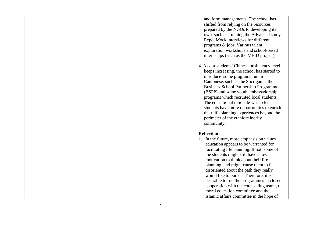|  | and form managements. The school has<br>shifted from relying on the resources<br>prepared by the NGOs to developing its<br>own, such as running the Advanced study<br>Expo, Mock interviews for different<br>programs & jobs, Various talent<br>exploration workshops and school-based<br>internships (such as the MEID project).<br>4. As our students' Chinese proficiency level<br>keeps increasing, the school has started to<br>introduce some programs run in<br>Cantonese, such as the Soci-game, the<br><b>Business-School Partnership Programme</b><br>(BSPP) and some youth ambassadorship<br>programs which recruited local students.<br>The educational rationale was to let<br>students have more opportunities to enrich<br>their life planning experiences beyond the<br>perimeter of the ethnic minority<br>community. |
|--|----------------------------------------------------------------------------------------------------------------------------------------------------------------------------------------------------------------------------------------------------------------------------------------------------------------------------------------------------------------------------------------------------------------------------------------------------------------------------------------------------------------------------------------------------------------------------------------------------------------------------------------------------------------------------------------------------------------------------------------------------------------------------------------------------------------------------------------|
|  | <b>Reflection</b><br>1. In the future, more emphasis on values<br>education appears to be warranted for<br>facilitating life planning. If not, some of<br>the students might still have a low<br>motivation to think about their life<br>planning, and might cause them to feel<br>disoriented about the path they really<br>would like to pursue. Therefore, it is<br>desirable to run the programmes in closer<br>cooperation with the counselling team, the<br>moral education committee and the<br>Islamic affairs committee in the hope of                                                                                                                                                                                                                                                                                        |